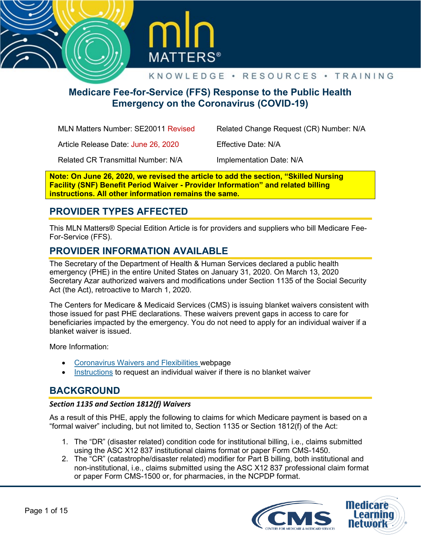



# **Medicare Fee-for-Service (FFS) Response to the Public Health Emergency on the Coronavirus (COVID-19)**

| MLN Matters Number: SE20011 Revised       | Related Change Request (CR) Number: N/A |
|-------------------------------------------|-----------------------------------------|
| Article Release Date: June 26, 2020       | Effective Date: N/A                     |
| <b>Related CR Transmittal Number: N/A</b> | Implementation Date: N/A                |

**Note: On June 26, 2020, we revised the article to add the section, "Skilled Nursing Facility (SNF) Benefit Period Waiver - Provider Information" and related billing instructions. All other information remains the same.**

# **PROVIDER TYPES AFFECTED**

This MLN Matters® Special Edition Article is for providers and suppliers who bill Medicare Fee-For-Service (FFS).

## **PROVIDER INFORMATION AVAILABLE**

The Secretary of the Department of Health & Human Services declared a public health emergency (PHE) in the entire United States on January 31, 2020. On March 13, 2020 Secretary Azar authorized waivers and modifications under Section 1135 of the Social Security Act (the Act), retroactive to March 1, 2020.

The Centers for Medicare & Medicaid Services (CMS) is issuing blanket waivers consistent with those issued for past PHE declarations. These waivers prevent gaps in access to care for beneficiaries impacted by the emergency. You do not need to apply for an individual waiver if a blanket waiver is issued.

More Information:

- [Coronavirus Waivers and Flexibilities](https://www.cms.gov/about-cms/emergency-preparedness-response-operations/current-emergencies/coronavirus-waivers) webpage
- [Instructions](https://www.cms.gov/About-CMS/Agency-Information/Emergency/Downloads/Requesting-an-1135-Waiver-Updated-11-16-2016.pdf) to request an individual waiver if there is no blanket waiver

## **BACKGROUND**

#### *Section 1135 and Section 1812(f) Waivers*

As a result of this PHE, apply the following to claims for which Medicare payment is based on a "formal waiver" including, but not limited to, Section 1135 or Section 1812(f) of the Act:

- 1. The "DR" (disaster related) condition code for institutional billing, i.e., claims submitted using the ASC X12 837 institutional claims format or paper Form CMS-1450.
- 2. The "CR" (catastrophe/disaster related) modifier for Part B billing, both institutional and non-institutional, i.e., claims submitted using the ASC X12 837 professional claim format or paper Form CMS-1500 or, for pharmacies, in the NCPDP format.

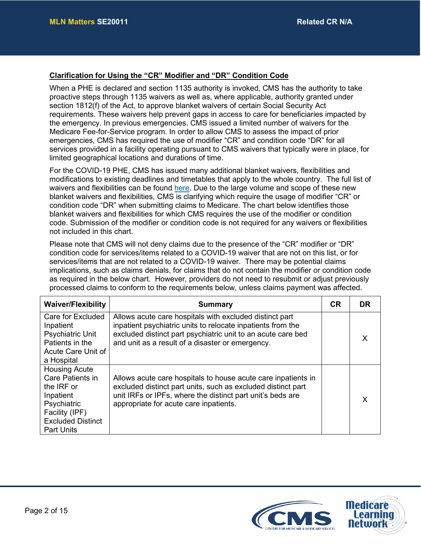### **Clarification for Using the "CR" Modifier and "DR" Condition Code**

When a PHE is declared and section 1135 authority is invoked, CMS has the authority to take proactive steps through 1135 waivers as well as, where applicable, authority granted under section 1812(f) of the Act, to approve blanket waivers of certain Social Security Act requirements. These waivers help prevent gaps in access to care for beneficiaries impacted by the emergency. In previous emergencies, CMS issued a limited number of waivers for the Medicare Fee-for-Service program. In order to allow CMS to assess the impact of prior emergencies, CMS has required the use of modifier "CR" and condition code "DR" for all services provided in a facility operating pursuant to CMS waivers that typically were in place, for limited geographical locations and durations of time.

For the COVID-19 PHE, CMS has issued many additional blanket waivers, flexibilities and modifications to existing deadlines and timetables that apply to the whole country. The full list of waivers and flexibilities can be found [here.](https://www.cms.gov/files/document/summary-covid-19-emergency-declaration-waivers.pdf) Due to the large volume and scope of these new blanket waivers and flexibilities, CMS is clarifying which require the usage of modifier "CR" or condition code "DR" when submitting claims to Medicare. The chart below identifies those blanket waivers and flexibilities for which CMS requires the use of the modifier or condition code. Submission of the modifier or condition code is not required for any waivers or flexibilities not included in this chart.

Please note that CMS will not deny claims due to the presence of the "CR" modifier or "DR" condition code for services/items related to a COVID-19 waiver that are not on this list, or for services/items that are not related to a COVID-19 waiver. There may be potential claims implications, such as claims denials, for claims that do not contain the modifier or condition code as required in the below chart. However, providers do not need to resubmit or adjust previously processed claims to conform to the requirements below, unless claims payment was affected.

| <b>Waiver/Flexibility</b>                                                                                                                             | <b>Summary</b>                                                                                                                                                                                                                             | <b>CR</b> | <b>DR</b> |
|-------------------------------------------------------------------------------------------------------------------------------------------------------|--------------------------------------------------------------------------------------------------------------------------------------------------------------------------------------------------------------------------------------------|-----------|-----------|
| Care for Excluded<br>Inpatient<br><b>Psychiatric Unit</b><br>Patients in the<br>Acute Care Unit of<br>a Hospital                                      | Allows acute care hospitals with excluded distinct part<br>inpatient psychiatric units to relocate inpatients from the<br>excluded distinct part psychiatric unit to an acute care bed<br>and unit as a result of a disaster or emergency. |           |           |
| <b>Housing Acute</b><br>Care Patients in<br>the IRF or<br>Inpatient<br>Psychiatric<br>Facility (IPF)<br><b>Excluded Distinct</b><br><b>Part Units</b> | Allows acute care hospitals to house acute care inpatients in<br>excluded distinct part units, such as excluded distinct part<br>unit IRFs or IPFs, where the distinct part unit's beds are<br>appropriate for acute care inpatients.      |           |           |

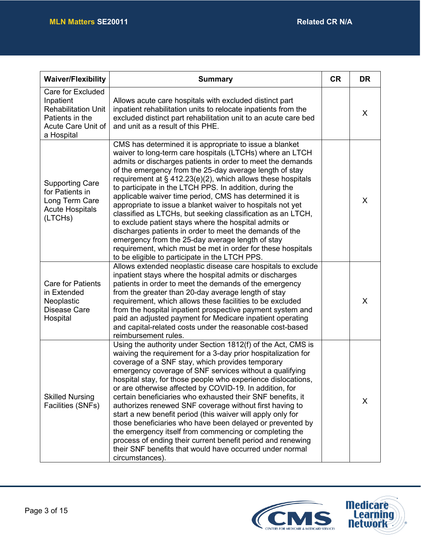| <b>Waiver/Flexibility</b>                                                                                                  | <b>Summary</b>                                                                                                                                                                                                                                                                                                                                                                                                                                                                                                                                                                                                                                                                                                                                                                                                                                             | <b>CR</b> | <b>DR</b> |
|----------------------------------------------------------------------------------------------------------------------------|------------------------------------------------------------------------------------------------------------------------------------------------------------------------------------------------------------------------------------------------------------------------------------------------------------------------------------------------------------------------------------------------------------------------------------------------------------------------------------------------------------------------------------------------------------------------------------------------------------------------------------------------------------------------------------------------------------------------------------------------------------------------------------------------------------------------------------------------------------|-----------|-----------|
| <b>Care for Excluded</b><br>Inpatient<br><b>Rehabilitation Unit</b><br>Patients in the<br>Acute Care Unit of<br>a Hospital | Allows acute care hospitals with excluded distinct part<br>inpatient rehabilitation units to relocate inpatients from the<br>excluded distinct part rehabilitation unit to an acute care bed<br>and unit as a result of this PHE.                                                                                                                                                                                                                                                                                                                                                                                                                                                                                                                                                                                                                          |           | X         |
| <b>Supporting Care</b><br>for Patients in<br>Long Term Care<br><b>Acute Hospitals</b><br>(LTCHs)                           | CMS has determined it is appropriate to issue a blanket<br>waiver to long-term care hospitals (LTCHs) where an LTCH<br>admits or discharges patients in order to meet the demands<br>of the emergency from the 25-day average length of stay<br>requirement at $\S$ 412.23(e)(2), which allows these hospitals<br>to participate in the LTCH PPS. In addition, during the<br>applicable waiver time period, CMS has determined it is<br>appropriate to issue a blanket waiver to hospitals not yet<br>classified as LTCHs, but seeking classification as an LTCH,<br>to exclude patient stays where the hospital admits or<br>discharges patients in order to meet the demands of the<br>emergency from the 25-day average length of stay<br>requirement, which must be met in order for these hospitals<br>to be eligible to participate in the LTCH PPS. |           | X         |
| <b>Care for Patients</b><br>in Extended<br>Neoplastic<br><b>Disease Care</b><br>Hospital                                   | Allows extended neoplastic disease care hospitals to exclude<br>inpatient stays where the hospital admits or discharges<br>patients in order to meet the demands of the emergency<br>from the greater than 20-day average length of stay<br>requirement, which allows these facilities to be excluded<br>from the hospital inpatient prospective payment system and<br>paid an adjusted payment for Medicare inpatient operating<br>and capital-related costs under the reasonable cost-based<br>reimbursement rules.                                                                                                                                                                                                                                                                                                                                      |           | $\sf X$   |
| <b>Skilled Nursing</b><br>Facilities (SNFs)                                                                                | Using the authority under Section 1812(f) of the Act, CMS is<br>waiving the requirement for a 3-day prior hospitalization for<br>coverage of a SNF stay, which provides temporary<br>emergency coverage of SNF services without a qualifying<br>hospital stay, for those people who experience dislocations,<br>or are otherwise affected by COVID-19. In addition, for<br>certain beneficiaries who exhausted their SNF benefits, it<br>authorizes renewed SNF coverage without first having to<br>start a new benefit period (this waiver will apply only for<br>those beneficiaries who have been delayed or prevented by<br>the emergency itself from commencing or completing the<br>process of ending their current benefit period and renewing<br>their SNF benefits that would have occurred under normal<br>circumstances).                       |           | X         |

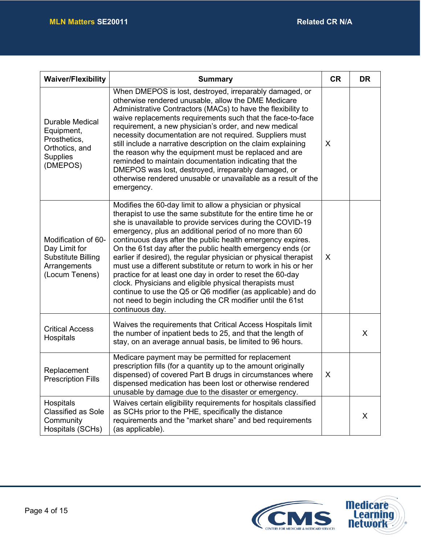| <b>Waiver/Flexibility</b>                                                                             | <b>Summary</b>                                                                                                                                                                                                                                                                                                                                                                                                                                                                                                                                                                                                                                                                                                                                                                                     | <b>CR</b> | <b>DR</b> |
|-------------------------------------------------------------------------------------------------------|----------------------------------------------------------------------------------------------------------------------------------------------------------------------------------------------------------------------------------------------------------------------------------------------------------------------------------------------------------------------------------------------------------------------------------------------------------------------------------------------------------------------------------------------------------------------------------------------------------------------------------------------------------------------------------------------------------------------------------------------------------------------------------------------------|-----------|-----------|
| <b>Durable Medical</b><br>Equipment,<br>Prosthetics,<br>Orthotics, and<br><b>Supplies</b><br>(DMEPOS) | When DMEPOS is lost, destroyed, irreparably damaged, or<br>otherwise rendered unusable, allow the DME Medicare<br>Administrative Contractors (MACs) to have the flexibility to<br>waive replacements requirements such that the face-to-face<br>requirement, a new physician's order, and new medical<br>necessity documentation are not required. Suppliers must<br>still include a narrative description on the claim explaining<br>the reason why the equipment must be replaced and are<br>reminded to maintain documentation indicating that the<br>DMEPOS was lost, destroyed, irreparably damaged, or<br>otherwise rendered unusable or unavailable as a result of the<br>emergency.                                                                                                        | X         |           |
| Modification of 60-<br>Day Limit for<br><b>Substitute Billing</b><br>Arrangements<br>(Locum Tenens)   | Modifies the 60-day limit to allow a physician or physical<br>therapist to use the same substitute for the entire time he or<br>she is unavailable to provide services during the COVID-19<br>emergency, plus an additional period of no more than 60<br>continuous days after the public health emergency expires.<br>On the 61st day after the public health emergency ends (or<br>earlier if desired), the regular physician or physical therapist<br>must use a different substitute or return to work in his or her<br>practice for at least one day in order to reset the 60-day<br>clock. Physicians and eligible physical therapists must<br>continue to use the Q5 or Q6 modifier (as applicable) and do<br>not need to begin including the CR modifier until the 61st<br>continuous day. | X         |           |
| <b>Critical Access</b><br>Hospitals                                                                   | Waives the requirements that Critical Access Hospitals limit<br>the number of inpatient beds to 25, and that the length of<br>stay, on an average annual basis, be limited to 96 hours.                                                                                                                                                                                                                                                                                                                                                                                                                                                                                                                                                                                                            |           | $\sf X$   |
| Replacement<br><b>Prescription Fills</b>                                                              | Medicare payment may be permitted for replacement<br>prescription fills (for a quantity up to the amount originally<br>dispensed) of covered Part B drugs in circumstances where<br>dispensed medication has been lost or otherwise rendered<br>unusable by damage due to the disaster or emergency.                                                                                                                                                                                                                                                                                                                                                                                                                                                                                               | X         |           |
| Hospitals<br><b>Classified as Sole</b><br>Community<br>Hospitals (SCHs)                               | Waives certain eligibility requirements for hospitals classified<br>as SCHs prior to the PHE, specifically the distance<br>requirements and the "market share" and bed requirements<br>(as applicable).                                                                                                                                                                                                                                                                                                                                                                                                                                                                                                                                                                                            |           | $\sf X$   |

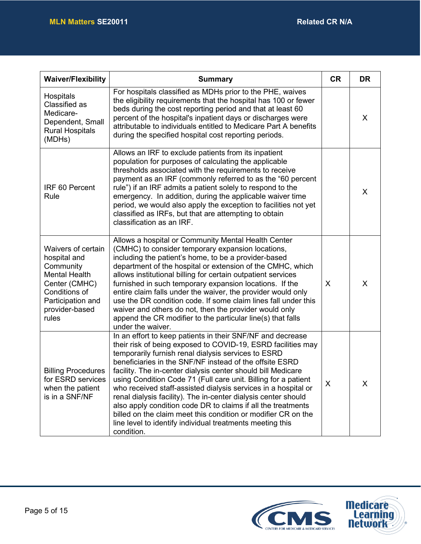| <b>Waiver/Flexibility</b>                                                                                                                                 | <b>Summary</b>                                                                                                                                                                                                                                                                                                                                                                                                                                                                                                                                                                                                                                                                                                                 | <b>CR</b> | <b>DR</b> |
|-----------------------------------------------------------------------------------------------------------------------------------------------------------|--------------------------------------------------------------------------------------------------------------------------------------------------------------------------------------------------------------------------------------------------------------------------------------------------------------------------------------------------------------------------------------------------------------------------------------------------------------------------------------------------------------------------------------------------------------------------------------------------------------------------------------------------------------------------------------------------------------------------------|-----------|-----------|
| Hospitals<br>Classified as<br>Medicare-<br>Dependent, Small<br><b>Rural Hospitals</b><br>(MDHs)                                                           | For hospitals classified as MDHs prior to the PHE, waives<br>the eligibility requirements that the hospital has 100 or fewer<br>beds during the cost reporting period and that at least 60<br>percent of the hospital's inpatient days or discharges were<br>attributable to individuals entitled to Medicare Part A benefits<br>during the specified hospital cost reporting periods.                                                                                                                                                                                                                                                                                                                                         |           | $\sf X$   |
| IRF 60 Percent<br>Rule                                                                                                                                    | Allows an IRF to exclude patients from its inpatient<br>population for purposes of calculating the applicable<br>thresholds associated with the requirements to receive<br>payment as an IRF (commonly referred to as the "60 percent<br>rule") if an IRF admits a patient solely to respond to the<br>emergency. In addition, during the applicable waiver time<br>period, we would also apply the exception to facilities not yet<br>classified as IRFs, but that are attempting to obtain<br>classification as an IRF.                                                                                                                                                                                                      |           | X         |
| Waivers of certain<br>hospital and<br>Community<br><b>Mental Health</b><br>Center (CMHC)<br>Conditions of<br>Participation and<br>provider-based<br>rules | Allows a hospital or Community Mental Health Center<br>(CMHC) to consider temporary expansion locations,<br>including the patient's home, to be a provider-based<br>department of the hospital or extension of the CMHC, which<br>allows institutional billing for certain outpatient services<br>furnished in such temporary expansion locations. If the<br>entire claim falls under the waiver, the provider would only<br>use the DR condition code. If some claim lines fall under this<br>waiver and others do not, then the provider would only<br>append the CR modifier to the particular line(s) that falls<br>under the waiver.                                                                                      | X         | $\sf X$   |
| <b>Billing Procedures</b><br>for ESRD services<br>when the patient<br>is in a SNF/NF                                                                      | In an effort to keep patients in their SNF/NF and decrease<br>their risk of being exposed to COVID-19, ESRD facilities may<br>temporarily furnish renal dialysis services to ESRD<br>beneficiaries in the SNF/NF instead of the offsite ESRD<br>facility. The in-center dialysis center should bill Medicare<br>using Condition Code 71 (Full care unit. Billing for a patient<br>who received staff-assisted dialysis services in a hospital or<br>renal dialysis facility). The in-center dialysis center should<br>also apply condition code DR to claims if all the treatments<br>billed on the claim meet this condition or modifier CR on the<br>line level to identify individual treatments meeting this<br>condition. | X         | X         |

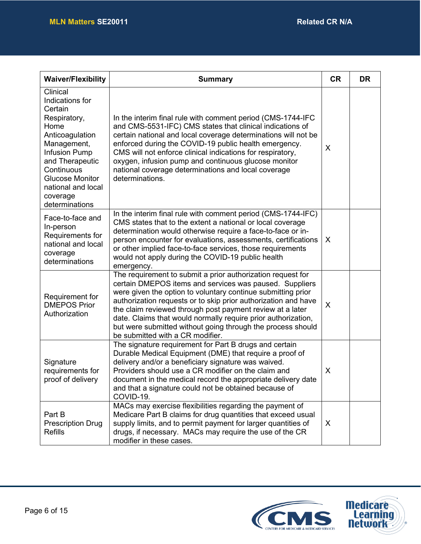| <b>Waiver/Flexibility</b>                                                                                                                                                                                                               | <b>Summary</b>                                                                                                                                                                                                                                                                                                                                                                                                                                                                            | <b>CR</b>    | <b>DR</b> |
|-----------------------------------------------------------------------------------------------------------------------------------------------------------------------------------------------------------------------------------------|-------------------------------------------------------------------------------------------------------------------------------------------------------------------------------------------------------------------------------------------------------------------------------------------------------------------------------------------------------------------------------------------------------------------------------------------------------------------------------------------|--------------|-----------|
| Clinical<br>Indications for<br>Certain<br>Respiratory,<br>Home<br>Anticoagulation<br>Management,<br><b>Infusion Pump</b><br>and Therapeutic<br>Continuous<br><b>Glucose Monitor</b><br>national and local<br>coverage<br>determinations | In the interim final rule with comment period (CMS-1744-IFC<br>and CMS-5531-IFC) CMS states that clinical indications of<br>certain national and local coverage determinations will not be<br>enforced during the COVID-19 public health emergency.<br>CMS will not enforce clinical indications for respiratory,<br>oxygen, infusion pump and continuous glucose monitor<br>national coverage determinations and local coverage<br>determinations.                                       | X            |           |
| Face-to-face and<br>In-person<br>Requirements for<br>national and local<br>coverage<br>determinations                                                                                                                                   | In the interim final rule with comment period (CMS-1744-IFC)<br>CMS states that to the extent a national or local coverage<br>determination would otherwise require a face-to-face or in-<br>person encounter for evaluations, assessments, certifications<br>or other implied face-to-face services, those requirements<br>would not apply during the COVID-19 public health<br>emergency.                                                                                               | X            |           |
| Requirement for<br><b>DMEPOS Prior</b><br>Authorization                                                                                                                                                                                 | The requirement to submit a prior authorization request for<br>certain DMEPOS items and services was paused. Suppliers<br>were given the option to voluntary continue submitting prior<br>authorization requests or to skip prior authorization and have<br>the claim reviewed through post payment review at a later<br>date. Claims that would normally require prior authorization,<br>but were submitted without going through the process should<br>be submitted with a CR modifier. | X            |           |
| Signature<br>requirements for<br>proof of delivery                                                                                                                                                                                      | The signature requirement for Part B drugs and certain<br>Durable Medical Equipment (DME) that require a proof of<br>delivery and/or a beneficiary signature was waived.<br>Providers should use a CR modifier on the claim and<br>document in the medical record the appropriate delivery date<br>and that a signature could not be obtained because of<br>COVID-19.                                                                                                                     | X            |           |
| Part B<br><b>Prescription Drug</b><br>Refills                                                                                                                                                                                           | MACs may exercise flexibilities regarding the payment of<br>Medicare Part B claims for drug quantities that exceed usual<br>supply limits, and to permit payment for larger quantities of<br>drugs, if necessary. MACs may require the use of the CR<br>modifier in these cases.                                                                                                                                                                                                          | $\mathsf{X}$ |           |

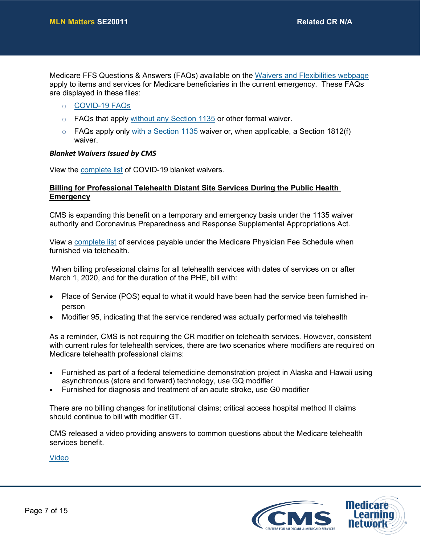Medicare FFS Questions & Answers (FAQs) available on the [Waivers and Flexibilities webpage](https://www.cms.gov/About-CMS/Agency-Information/Emergency/EPRO/Resources/Waivers-and-flexibilities.html) apply to items and services for Medicare beneficiaries in the current emergency. These FAQs are displayed in these files:

- o [COVID-19 FAQs](https://www.cms.gov/files/document/03092020-covid-19-faqs-508.pdf)
- $\circ$  FAQs that apply [without any Section 1135](https://www.cms.gov/About-CMS/Agency-Information/Emergency/Downloads/Consolidated_Medicare_FFS_Emergency_QsAs.pdf) or other formal waiver.
- $\circ$  FAQs apply only [with a Section 1135](https://www.cms.gov/About-CMS/Agency-Information/Emergency/Downloads/MedicareFFS-EmergencyQsAs1135Waiver.pdf) waiver or, when applicable, a Section 1812(f) waiver.

#### *Blanket Waivers Issued by CMS*

View the [complete list](https://www.cms.gov/files/document/summary-covid-19-emergency-declaration-waivers.pdf) of COVID-19 blanket waivers.

#### **Billing for Professional Telehealth Distant Site Services During the Public Health Emergency**

CMS is expanding this benefit on a temporary and emergency basis under the 1135 waiver authority and Coronavirus Preparedness and Response Supplemental Appropriations Act.

View a [complete list](https://www.cms.gov/Medicare/Medicare-General-Information/Telehealth/Telehealth-Codes) of services payable under the Medicare Physician Fee Schedule when furnished via telehealth.

When billing professional claims for all telehealth services with dates of services on or after March 1, 2020, and for the duration of the PHE, bill with:

- Place of Service (POS) equal to what it would have been had the service been furnished inperson
- Modifier 95, indicating that the service rendered was actually performed via telehealth

As a reminder, CMS is not requiring the CR modifier on telehealth services. However, consistent with current rules for telehealth services, there are two scenarios where modifiers are required on Medicare telehealth professional claims:

- Furnished as part of a federal telemedicine demonstration project in Alaska and Hawaii using asynchronous (store and forward) technology, use GQ modifier
- Furnished for diagnosis and treatment of an acute stroke, use G0 modifier

There are no billing changes for institutional claims; critical access hospital method II claims should continue to bill with modifier GT.

CMS released a video providing answers to common questions about the Medicare telehealth services benefit.

[Video](https://lnks.gd/l/eyJhbGciOiJIUzI1NiJ9.eyJidWxsZXRpbl9saW5rX2lkIjoxMDAsInVyaSI6ImJwMjpjbGljayIsImJ1bGxldGluX2lkIjoiMjAyMDA0MDcuMTk4NDQ0NTEiLCJ1cmwiOiJodHRwczovL3lvdXR1LmJlL2JkYjlOS3R5YnpvIn0.1LATKHCZMOBtDvc_M50gIEGs4AFmpx9TlsrgCG68VdA/br/77108031042-l)

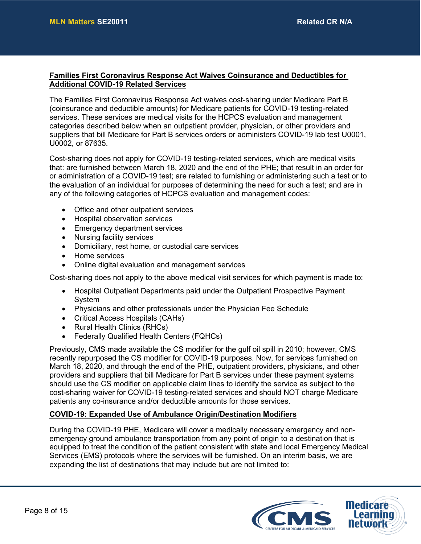#### **Families First Coronavirus Response Act Waives Coinsurance and Deductibles for Additional COVID-19 Related Services**

The Families First Coronavirus Response Act waives cost-sharing under Medicare Part B (coinsurance and deductible amounts) for Medicare patients for COVID-19 testing-related services. These services are medical visits for the HCPCS evaluation and management categories described below when an outpatient provider, physician, or other providers and suppliers that bill Medicare for Part B services orders or administers COVID-19 lab test U0001, U0002, or 87635.

Cost-sharing does not apply for COVID-19 testing-related services, which are medical visits that: are furnished between March 18, 2020 and the end of the PHE; that result in an order for or administration of a COVID-19 test; are related to furnishing or administering such a test or to the evaluation of an individual for purposes of determining the need for such a test; and are in any of the following categories of HCPCS evaluation and management codes:

- Office and other outpatient services
- Hospital observation services
- Emergency department services
- Nursing facility services
- Domiciliary, rest home, or custodial care services
- Home services
- Online digital evaluation and management services

Cost-sharing does not apply to the above medical visit services for which payment is made to:

- Hospital Outpatient Departments paid under the Outpatient Prospective Payment System
- Physicians and other professionals under the Physician Fee Schedule
- Critical Access Hospitals (CAHs)
- Rural Health Clinics (RHCs)
- Federally Qualified Health Centers (FQHCs)

Previously, CMS made available the CS modifier for the gulf oil spill in 2010; however, CMS recently repurposed the CS modifier for COVID-19 purposes. Now, for services furnished on March 18, 2020, and through the end of the PHE, outpatient providers, physicians, and other providers and suppliers that bill Medicare for Part B services under these payment systems should use the CS modifier on applicable claim lines to identify the service as subject to the cost-sharing waiver for COVID-19 testing-related services and should NOT charge Medicare patients any co-insurance and/or deductible amounts for those services.

#### **COVID-19: Expanded Use of Ambulance Origin/Destination Modifiers**

During the COVID-19 PHE, Medicare will cover a medically necessary emergency and nonemergency ground ambulance transportation from any point of origin to a destination that is equipped to treat the condition of the patient consistent with state and local Emergency Medical Services (EMS) protocols where the services will be furnished. On an interim basis, we are expanding the list of destinations that may include but are not limited to:

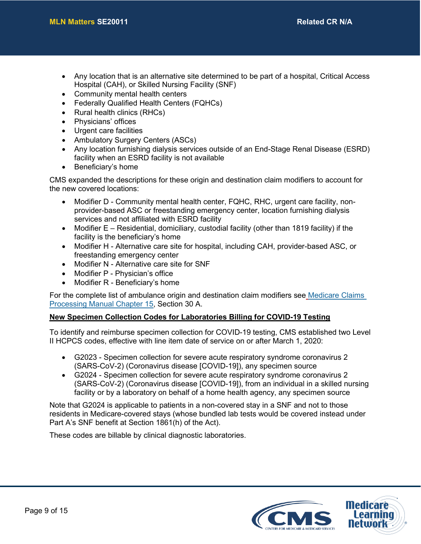- Any location that is an alternative site determined to be part of a hospital, Critical Access Hospital (CAH), or Skilled Nursing Facility (SNF)
- Community mental health centers
- Federally Qualified Health Centers (FQHCs)
- Rural health clinics (RHCs)
- Physicians' offices
- Urgent care facilities
- Ambulatory Surgery Centers (ASCs)
- Any location furnishing dialysis services outside of an End-Stage Renal Disease (ESRD) facility when an ESRD facility is not available
- Beneficiary's home

CMS expanded the descriptions for these origin and destination claim modifiers to account for the new covered locations:

- Modifier D Community mental health center, FQHC, RHC, urgent care facility, nonprovider-based ASC or freestanding emergency center, location furnishing dialysis services and not affiliated with ESRD facility
- Modifier  $E -$  Residential, domiciliary, custodial facility (other than 1819 facility) if the facility is the beneficiary's home
- Modifier H Alternative care site for hospital, including CAH, provider-based ASC, or freestanding emergency center
- Modifier N Alternative care site for SNF
- Modifier P Physician's office
- Modifier R Beneficiary's home

For the complete list of ambulance origin and destination claim modifiers see [Medicare Claims](https://www.cms.gov/Regulations-and-Guidance/Guidance/Manuals/Downloads/clm104c15.pdf)  [Processing Manual Chapter 15,](https://www.cms.gov/Regulations-and-Guidance/Guidance/Manuals/Downloads/clm104c15.pdf) Section 30 A.

#### **New Specimen Collection Codes for Laboratories Billing for COVID-19 Testing**

To identify and reimburse specimen collection for COVID-19 testing, CMS established two Level II HCPCS codes, effective with line item date of service on or after March 1, 2020:

- G2023 Specimen collection for severe acute respiratory syndrome coronavirus 2 (SARS-CoV-2) (Coronavirus disease [COVID-19]), any specimen source
- G2024 Specimen collection for severe acute respiratory syndrome coronavirus 2 (SARS-CoV-2) (Coronavirus disease [COVID-19]), from an individual in a skilled nursing facility or by a laboratory on behalf of a home health agency, any specimen source

Note that G2024 is applicable to patients in a non-covered stay in a SNF and not to those residents in Medicare-covered stays (whose bundled lab tests would be covered instead under Part A's SNF benefit at Section 1861(h) of the Act).

These codes are billable by clinical diagnostic laboratories.

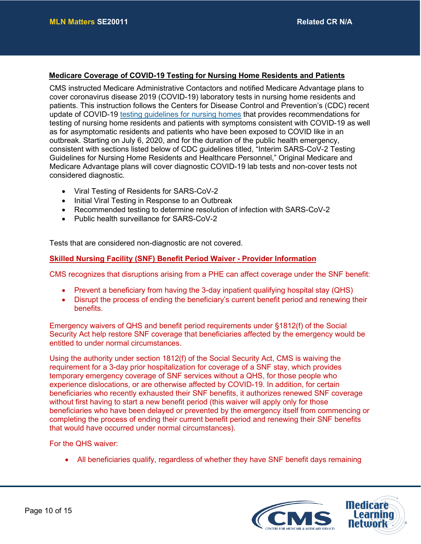#### **Medicare Coverage of COVID-19 Testing for Nursing Home Residents and Patients**

CMS instructed Medicare Administrative Contactors and notified Medicare Advantage plans to cover coronavirus disease 2019 (COVID-19) laboratory tests in nursing home residents and patients. This instruction follows the Centers for Disease Control and Prevention's (CDC) recent update of COVID-19 [testing guidelines for nursing homes](https://www.cdc.gov/coronavirus/2019-ncov/hcp/nursing-homes-testing.html) that provides recommendations for testing of nursing home residents and patients with symptoms consistent with COVID-19 as well as for asymptomatic residents and patients who have been exposed to COVID like in an outbreak. Starting on July 6, 2020, and for the duration of the public health emergency, consistent with sections listed below of CDC guidelines titled, "Interim SARS-CoV-2 Testing Guidelines for Nursing Home Residents and Healthcare Personnel," Original Medicare and Medicare Advantage plans will cover diagnostic COVID-19 lab tests and non-cover tests not considered diagnostic.

- Viral Testing of Residents for SARS-CoV-2
- Initial Viral Testing in Response to an Outbreak
- Recommended testing to determine resolution of infection with SARS-CoV-2
- Public health surveillance for SARS-CoV-2

Tests that are considered non-diagnostic are not covered.

#### **Skilled Nursing Facility (SNF) Benefit Period Waiver - Provider Information**

CMS recognizes that disruptions arising from a PHE can affect coverage under the SNF benefit:

- Prevent a beneficiary from having the 3-day inpatient qualifying hospital stay (QHS)
- Disrupt the process of ending the beneficiary's current benefit period and renewing their benefits.

Emergency waivers of QHS and benefit period requirements under §1812(f) of the Social Security Act help restore SNF coverage that beneficiaries affected by the emergency would be entitled to under normal circumstances.

Using the authority under section 1812(f) of the Social Security Act, CMS is waiving the requirement for a 3-day prior hospitalization for coverage of a SNF stay, which provides temporary emergency coverage of SNF services without a QHS, for those people who experience dislocations, or are otherwise affected by COVID-19. In addition, for certain beneficiaries who recently exhausted their SNF benefits, it authorizes renewed SNF coverage without first having to start a new benefit period (this waiver will apply only for those beneficiaries who have been delayed or prevented by the emergency itself from commencing or completing the process of ending their current benefit period and renewing their SNF benefits that would have occurred under normal circumstances).

For the QHS waiver:

• All beneficiaries qualify, regardless of whether they have SNF benefit days remaining

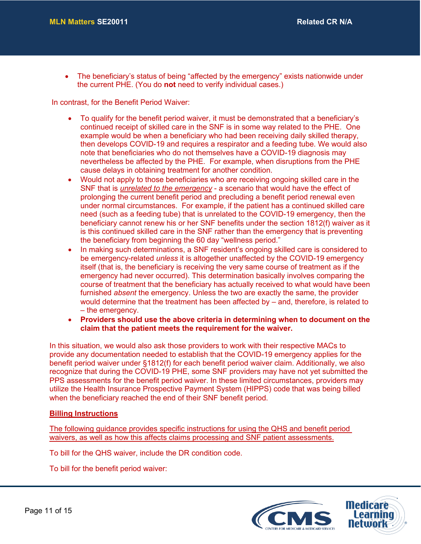• The beneficiary's status of being "affected by the emergency" exists nationwide under the current PHE. (You do **not** need to verify individual cases.)

In contrast, for the Benefit Period Waiver:

- To qualify for the benefit period waiver, it must be demonstrated that a beneficiary's continued receipt of skilled care in the SNF is in some way related to the PHE. One example would be when a beneficiary who had been receiving daily skilled therapy, then develops COVID-19 and requires a respirator and a feeding tube. We would also note that beneficiaries who do not themselves have a COVID-19 diagnosis may nevertheless be affected by the PHE. For example, when disruptions from the PHE cause delays in obtaining treatment for another condition.
- Would not apply to those beneficiaries who are receiving ongoing skilled care in the SNF that is *unrelated to the emergency* - a scenario that would have the effect of prolonging the current benefit period and precluding a benefit period renewal even under normal circumstances. For example, if the patient has a continued skilled care need (such as a feeding tube) that is unrelated to the COVID-19 emergency, then the beneficiary cannot renew his or her SNF benefits under the section 1812(f) waiver as it is this continued skilled care in the SNF rather than the emergency that is preventing the beneficiary from beginning the 60 day "wellness period."
- In making such determinations, a SNF resident's ongoing skilled care is considered to be emergency-related *unless* it is altogether unaffected by the COVID-19 emergency itself (that is, the beneficiary is receiving the very same course of treatment as if the emergency had never occurred). This determination basically involves comparing the course of treatment that the beneficiary has actually received to what would have been furnished *absent* the emergency. Unless the two are exactly the same, the provider would determine that the treatment has been affected by – and, therefore, is related to – the emergency.
- **Providers should use the above criteria in determining when to document on the claim that the patient meets the requirement for the waiver.**

In this situation, we would also ask those providers to work with their respective MACs to provide any documentation needed to establish that the COVID-19 emergency applies for the benefit period waiver under §1812(f) for each benefit period waiver claim. Additionally, we also recognize that during the COVID-19 PHE, some SNF providers may have not yet submitted the PPS assessments for the benefit period waiver. In these limited circumstances, providers may utilize the Health Insurance Prospective Payment System (HIPPS) code that was being billed when the beneficiary reached the end of their SNF benefit period.

#### **Billing Instructions**

The following guidance provides specific instructions for using the QHS and benefit period waivers, as well as how this affects claims processing and SNF patient assessments.

To bill for the QHS waiver, include the DR condition code.

To bill for the benefit period waiver:

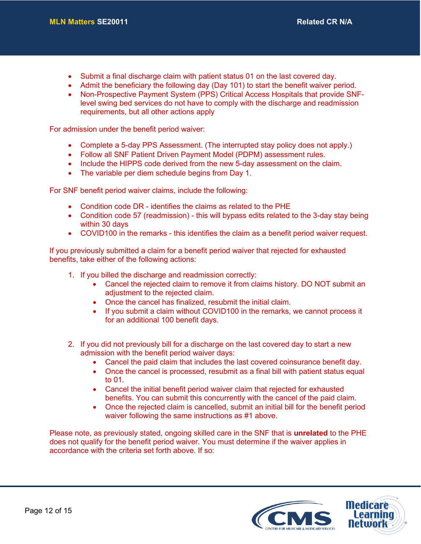- Submit a final discharge claim with patient status 01 on the last covered day.
- Admit the beneficiary the following day (Day 101) to start the benefit waiver period.
- Non-Prospective Payment System (PPS) Critical Access Hospitals that provide SNFlevel swing bed services do not have to comply with the discharge and readmission requirements, but all other actions apply

For admission under the benefit period waiver:

- Complete a 5-day PPS Assessment. (The interrupted stay policy does not apply.)
- Follow all SNF Patient Driven Payment Model (PDPM) assessment rules.
- Include the HIPPS code derived from the new 5-day assessment on the claim.
- The variable per diem schedule begins from Day 1.

For SNF benefit period waiver claims, include the following:

- Condition code DR identifies the claims as related to the PHE
- Condition code 57 (readmission) this will bypass edits related to the 3-day stay being within 30 days
- COVID100 in the remarks this identifies the claim as a benefit period waiver request.

If you previously submitted a claim for a benefit period waiver that rejected for exhausted benefits, take either of the following actions:

- 1. If you billed the discharge and readmission correctly:
	- Cancel the rejected claim to remove it from claims history. DO NOT submit an adjustment to the rejected claim.
	- Once the cancel has finalized, resubmit the initial claim.
	- If you submit a claim without COVID100 in the remarks, we cannot process it for an additional 100 benefit days.
- 2. If you did not previously bill for a discharge on the last covered day to start a new admission with the benefit period waiver days:
	- Cancel the paid claim that includes the last covered coinsurance benefit day.
	- Once the cancel is processed, resubmit as a final bill with patient status equal to 01.
	- Cancel the initial benefit period waiver claim that rejected for exhausted benefits. You can submit this concurrently with the cancel of the paid claim.
	- Once the rejected claim is cancelled, submit an initial bill for the benefit period waiver following the same instructions as #1 above.

Please note, as previously stated, ongoing skilled care in the SNF that is **unrelated** to the PHE does not qualify for the benefit period waiver. You must determine if the waiver applies in accordance with the criteria set forth above. If so:

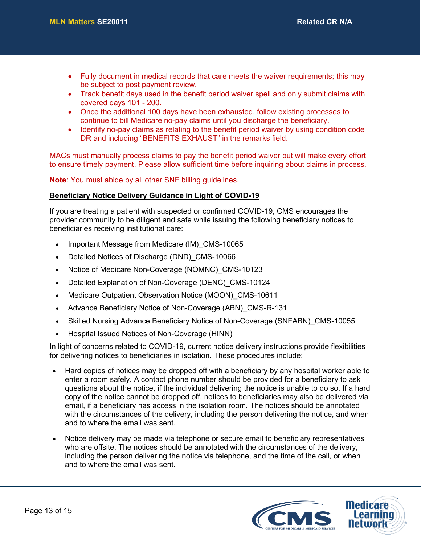- Fully document in medical records that care meets the waiver requirements; this may be subject to post payment review.
- Track benefit days used in the benefit period waiver spell and only submit claims with covered days 101 - 200.
- Once the additional 100 days have been exhausted, follow existing processes to continue to bill Medicare no-pay claims until you discharge the beneficiary.
- Identify no-pay claims as relating to the benefit period waiver by using condition code DR and including "BENEFITS EXHAUST" in the remarks field.

MACs must manually process claims to pay the benefit period waiver but will make every effort to ensure timely payment. Please allow sufficient time before inquiring about claims in process.

**Note**: You must abide by all other SNF billing guidelines.

#### **Beneficiary Notice Delivery Guidance in Light of COVID-19**

If you are treating a patient with suspected or confirmed COVID-19, CMS encourages the provider community to be diligent and safe while issuing the following beneficiary notices to beneficiaries receiving institutional care:

- Important Message from Medicare (IM) CMS-10065
- Detailed Notices of Discharge (DND) CMS-10066
- Notice of Medicare Non-Coverage (NOMNC) CMS-10123
- Detailed Explanation of Non-Coverage (DENC)\_CMS-10124
- Medicare Outpatient Observation Notice (MOON) CMS-10611
- Advance Beneficiary Notice of Non-Coverage (ABN) CMS-R-131
- Skilled Nursing Advance Beneficiary Notice of Non-Coverage (SNFABN) CMS-10055
- Hospital Issued Notices of Non-Coverage (HINN)

In light of concerns related to COVID-19, current notice delivery instructions provide flexibilities for delivering notices to beneficiaries in isolation. These procedures include:

- Hard copies of notices may be dropped off with a beneficiary by any hospital worker able to enter a room safely. A contact phone number should be provided for a beneficiary to ask questions about the notice, if the individual delivering the notice is unable to do so. If a hard copy of the notice cannot be dropped off, notices to beneficiaries may also be delivered via email, if a beneficiary has access in the isolation room. The notices should be annotated with the circumstances of the delivery, including the person delivering the notice, and when and to where the email was sent.
- Notice delivery may be made via telephone or secure email to beneficiary representatives who are offsite. The notices should be annotated with the circumstances of the delivery, including the person delivering the notice via telephone, and the time of the call, or when and to where the email was sent.

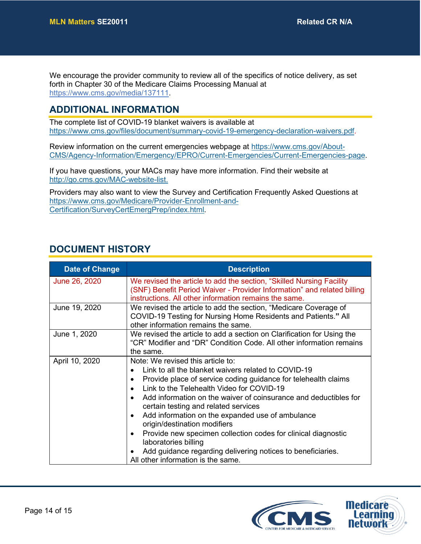We encourage the provider community to review all of the specifics of notice delivery, as set forth in Chapter 30 of the Medicare Claims Processing Manual at [https://www.cms.gov/media/137111.](https://lnks.gd/l/eyJhbGciOiJIUzI1NiJ9.eyJidWxsZXRpbl9saW5rX2lkIjoxMDIsInVyaSI6ImJwMjpjbGljayIsImJ1bGxldGluX2lkIjoiMjAyMDAzMjYuMTkzNTI5NDEiLCJ1cmwiOiJodHRwczovL3d3dy5jbXMuZ292L21lZGlhLzEzNzExMSJ9._vYjgOP-pRoOivInw2boMdWcMJMWL5MYm4dPmZl2L-I/br/76670868351-l)

### **ADDITIONAL INFORMATION**

The complete list of COVID-19 blanket waivers is available at [https://www.cms.gov/files/document/summary-covid-19-emergency-declaration-waivers.pdf.](https://www.cms.gov/files/document/summary-covid-19-emergency-declaration-waivers.pdf)

Review information on the current emergencies webpage at [https://www.cms.gov/About-](https://www.cms.gov/About-CMS/Agency-Information/Emergency/EPRO/Current-Emergencies/Current-Emergencies-page)[CMS/Agency-Information/Emergency/EPRO/Current-Emergencies/Current-Emergencies-page.](https://www.cms.gov/About-CMS/Agency-Information/Emergency/EPRO/Current-Emergencies/Current-Emergencies-page)

If you have questions, your MACs may have more information. Find their website at [http://go.cms.gov/MAC-website-list.](http://go.cms.gov/MAC-website-list)

Providers may also want to view the Survey and Certification Frequently Asked Questions at [https://www.cms.gov/Medicare/Provider-Enrollment-and-](https://www.cms.gov/Medicare/Provider-Enrollment-and-Certification/SurveyCertEmergPrep/index.html)[Certification/SurveyCertEmergPrep/index.html.](https://www.cms.gov/Medicare/Provider-Enrollment-and-Certification/SurveyCertEmergPrep/index.html)

## **DOCUMENT HISTORY**

| <b>Date of Change</b> | <b>Description</b>                                                                                                                                                                                                                                                                                                                                                                                                                                                                                                                                                                                    |
|-----------------------|-------------------------------------------------------------------------------------------------------------------------------------------------------------------------------------------------------------------------------------------------------------------------------------------------------------------------------------------------------------------------------------------------------------------------------------------------------------------------------------------------------------------------------------------------------------------------------------------------------|
| June 26, 2020         | We revised the article to add the section, "Skilled Nursing Facility"<br>(SNF) Benefit Period Waiver - Provider Information" and related billing<br>instructions. All other information remains the same.                                                                                                                                                                                                                                                                                                                                                                                             |
| June 19, 2020         | We revised the article to add the section, "Medicare Coverage of<br>COVID-19 Testing for Nursing Home Residents and Patients." All<br>other information remains the same.                                                                                                                                                                                                                                                                                                                                                                                                                             |
| June 1, 2020          | We revised the article to add a section on Clarification for Using the<br>"CR" Modifier and "DR" Condition Code. All other information remains<br>the same.                                                                                                                                                                                                                                                                                                                                                                                                                                           |
| April 10, 2020        | Note: We revised this article to:<br>Link to all the blanket waivers related to COVID-19<br>Provide place of service coding guidance for telehealth claims<br>Link to the Telehealth Video for COVID-19<br>Add information on the waiver of coinsurance and deductibles for<br>certain testing and related services<br>Add information on the expanded use of ambulance<br>origin/destination modifiers<br>Provide new specimen collection codes for clinical diagnostic<br>laboratories billing<br>Add guidance regarding delivering notices to beneficiaries.<br>All other information is the same. |